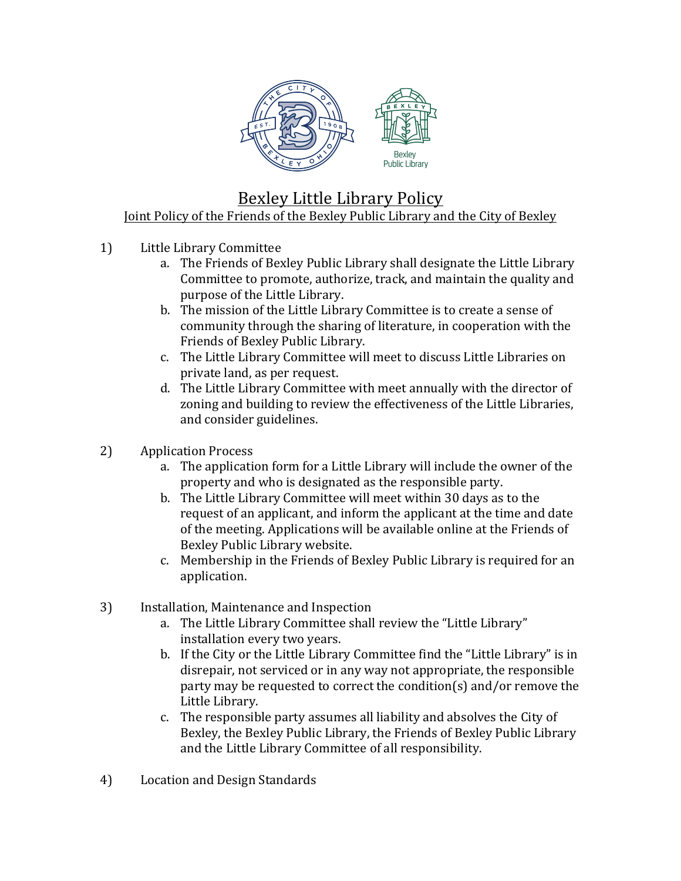

## Bexley Little Library Policy Joint Policy of the Friends of the Bexley Public Library and the City of Bexley

- 1) Little Library Committee
	- a. The Friends of Bexley Public Library shall designate the Little Library Committee to promote, authorize, track, and maintain the quality and purpose of the Little Library.
	- b. The mission of the Little Library Committee is to create a sense of community through the sharing of literature, in cooperation with the Friends of Bexley Public Library.
	- c. The Little Library Committee will meet to discuss Little Libraries on private land, as per request.
	- d. The Little Library Committee with meet annually with the director of zoning and building to review the effectiveness of the Little Libraries, and consider guidelines.
- 2) Application Process
	- a. The application form for a Little Library will include the owner of the property and who is designated as the responsible party.
	- b. The Little Library Committee will meet within 30 days as to the request of an applicant, and inform the applicant at the time and date of the meeting. Applications will be available online at the Friends of Bexley Public Library website.
	- c. Membership in the Friends of Bexley Public Library is required for an application.
- 3) Installation, Maintenance and Inspection
	- a. The Little Library Committee shall review the "Little Library" installation every two years.
	- b. If the City or the Little Library Committee find the "Little Library" is in disrepair, not serviced or in any way not appropriate, the responsible party may be requested to correct the condition(s) and/or remove the Little Library.
	- c. The responsible party assumes all liability and absolves the City of Bexley, the Bexley Public Library, the Friends of Bexley Public Library and the Little Library Committee of all responsibility.
- 4) Location and Design Standards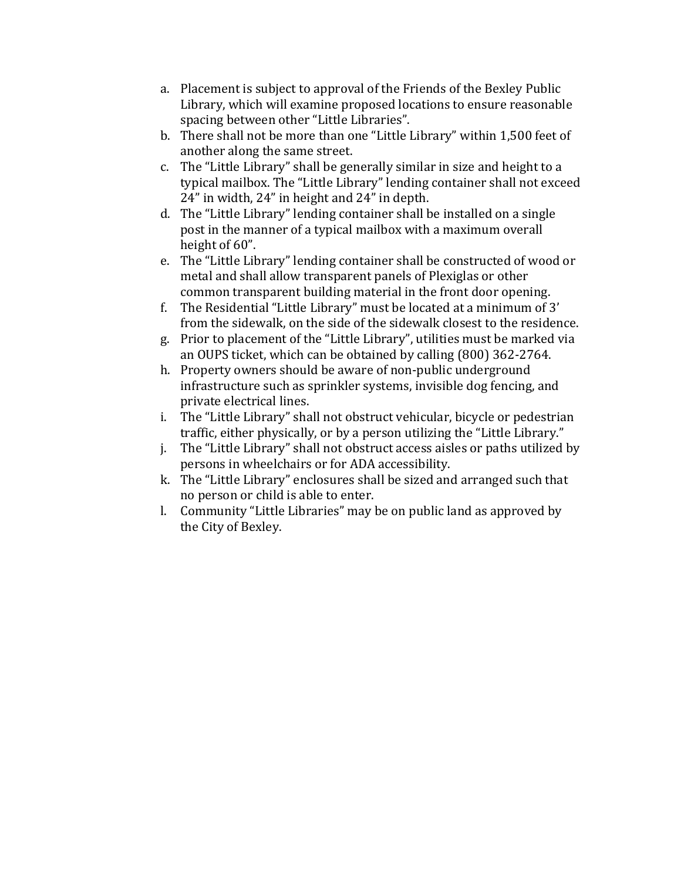- a. Placement is subject to approval of the Friends of the Bexley Public Library, which will examine proposed locations to ensure reasonable spacing between other "Little Libraries".
- b. There shall not be more than one "Little Library" within 1,500 feet of another along the same street.
- c. The "Little Library" shall be generally similar in size and height to a typical mailbox. The "Little Library" lending container shall not exceed  $24$ " in width,  $24$ " in height and  $24$ " in depth.
- d. The "Little Library" lending container shall be installed on a single post in the manner of a typical mailbox with a maximum overall height of 60".
- e. The "Little Library" lending container shall be constructed of wood or metal and shall allow transparent panels of Plexiglas or other common transparent building material in the front door opening.
- f. The Residential "Little Library" must be located at a minimum of  $3'$ from the sidewalk, on the side of the sidewalk closest to the residence.
- g. Prior to placement of the "Little Library", utilities must be marked via an OUPS ticket, which can be obtained by calling (800) 362-2764.
- h. Property owners should be aware of non-public underground infrastructure such as sprinkler systems, invisible dog fencing, and private electrical lines.
- i. The "Little Library" shall not obstruct vehicular, bicycle or pedestrian traffic, either physically, or by a person utilizing the "Little Library."
- i. The "Little Library" shall not obstruct access aisles or paths utilized by persons in wheelchairs or for ADA accessibility.
- k. The "Little Library" enclosures shall be sized and arranged such that no person or child is able to enter.
- l. Community "Little Libraries" may be on public land as approved by the City of Bexley.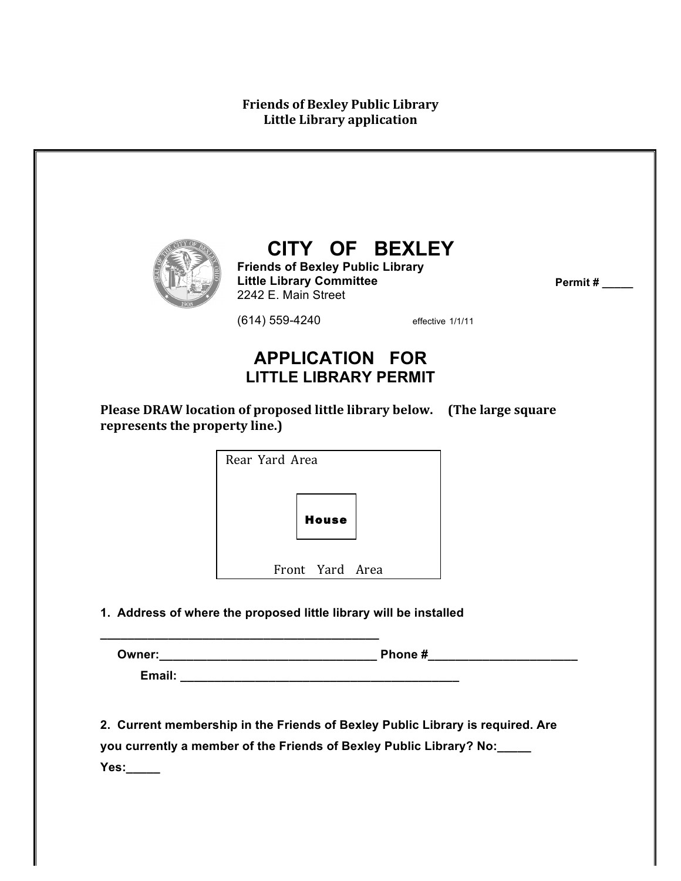|                                | <b>Friends of Bexley Public Library</b><br><b>Little Library Committee</b><br>2242 E. Main Street | CITY OF BEXLEY<br>Permit# |
|--------------------------------|---------------------------------------------------------------------------------------------------|---------------------------|
|                                | $(614) 559 - 4240$                                                                                | effective 1/1/11          |
|                                | <b>APPLICATION FOR</b><br><b>LITTLE LIBRARY PERMIT</b>                                            |                           |
| represents the property line.) | Please DRAW location of proposed little library below.                                            | (The large square         |
|                                | Rear Yard Area                                                                                    |                           |
|                                | <b>House</b>                                                                                      |                           |
|                                | Front Yard Area                                                                                   |                           |
|                                | 1. Address of where the proposed little library will be installed                                 |                           |
|                                |                                                                                                   |                           |
|                                |                                                                                                   |                           |